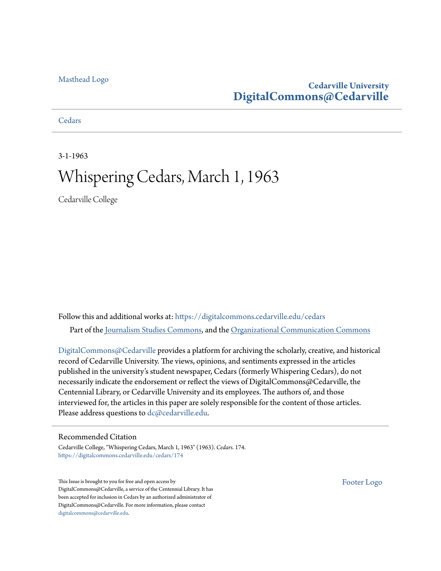# [Masthead Logo](http://www.cedarville.edu/?utm_source=digitalcommons.cedarville.edu%2Fcedars%2F174&utm_medium=PDF&utm_campaign=PDFCoverPages)

# **Cedarville University [DigitalCommons@Cedarville](https://digitalcommons.cedarville.edu?utm_source=digitalcommons.cedarville.edu%2Fcedars%2F174&utm_medium=PDF&utm_campaign=PDFCoverPages)**

# **[Cedars](https://digitalcommons.cedarville.edu/cedars?utm_source=digitalcommons.cedarville.edu%2Fcedars%2F174&utm_medium=PDF&utm_campaign=PDFCoverPages)**

3-1-1963

# Whispering Cedars, March 1, 1963

Cedarville College

Follow this and additional works at: [https://digitalcommons.cedarville.edu/cedars](https://digitalcommons.cedarville.edu/cedars?utm_source=digitalcommons.cedarville.edu%2Fcedars%2F174&utm_medium=PDF&utm_campaign=PDFCoverPages) Part of the [Journalism Studies Commons](http://network.bepress.com/hgg/discipline/333?utm_source=digitalcommons.cedarville.edu%2Fcedars%2F174&utm_medium=PDF&utm_campaign=PDFCoverPages), and the [Organizational Communication Commons](http://network.bepress.com/hgg/discipline/335?utm_source=digitalcommons.cedarville.edu%2Fcedars%2F174&utm_medium=PDF&utm_campaign=PDFCoverPages)

[DigitalCommons@Cedarville](http://digitalcommons.cedarville.edu/) provides a platform for archiving the scholarly, creative, and historical record of Cedarville University. The views, opinions, and sentiments expressed in the articles published in the university's student newspaper, Cedars (formerly Whispering Cedars), do not necessarily indicate the endorsement or reflect the views of DigitalCommons@Cedarville, the Centennial Library, or Cedarville University and its employees. The authors of, and those interviewed for, the articles in this paper are solely responsible for the content of those articles. Please address questions to [dc@cedarville.edu.](mailto:dc@cedarville.edu)

# Recommended Citation

Cedarville College, "Whispering Cedars, March 1, 1963" (1963). *Cedars*. 174. [https://digitalcommons.cedarville.edu/cedars/174](https://digitalcommons.cedarville.edu/cedars/174?utm_source=digitalcommons.cedarville.edu%2Fcedars%2F174&utm_medium=PDF&utm_campaign=PDFCoverPages)

This Issue is brought to you for free and open access by DigitalCommons@Cedarville, a service of the Centennial Library. It has been accepted for inclusion in Cedars by an authorized administrator of DigitalCommons@Cedarville. For more information, please contact [digitalcommons@cedarville.edu](mailto:digitalcommons@cedarville.edu).

[Footer Logo](http://www.cedarville.edu/Academics/Library.aspx?utm_source=digitalcommons.cedarville.edu%2Fcedars%2F174&utm_medium=PDF&utm_campaign=PDFCoverPages)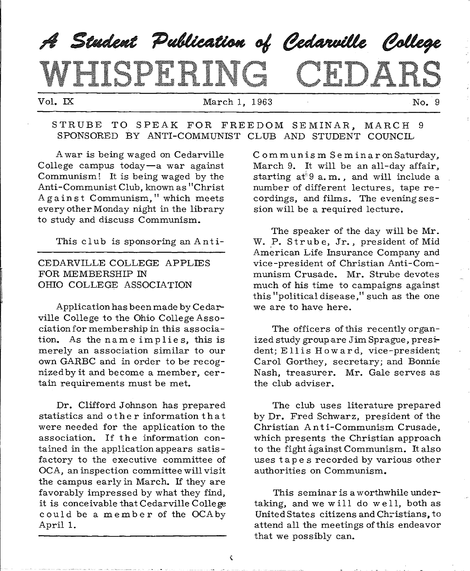# $\boldsymbol{\mathscr{A}}$  Student Publication of Cedarville College MIGDH RID E DA

Vol. IX 1963 March 1, 1963 No. 9

#### STRUBE TO SPEAK FOR FREEDOM SEMINAR, MARCH 9 SPONSORED BY ANTI-COMMUNIST CLUB AND STUDENT COUNCIL

A war is being waged on Cedarville College campus today-a war against Communism! It is being waged by the Anti-Communist Club, known as "Christ Against Communism," which meets every other Monday night in the library to study and discuss Communism.

This club is sponsoring an Anti-

# CEDARVILLE COLLEGE APPLIES FOR MEMBERSHIP IN OHIO COLLEGE ASSOCIATION

Application has been made by Cedarville College to the Ohio College Association for membership in this association. As the name implies, this is merely an association similar to our own GARBC and in order to be recognized by it and become a member, certain requirements must be met.

Dr. Clifford Johnson has prepared statistics and o the r information that were needed for the application to the association. If the information contained in the applicationappears satisfactory to the executive committee of OCA, an inspection committee will visit the campus early in March. If they are favorably impressed by what they find, it is conceivable that Cedarville College could be a member of the OCA by April 1.

Communism Se m inaronSaturday, March 9. It will be an all-day affair, starting  $a t^*9 a$ . m., and will include a number of different lectures, tape recordings, and films. The evening session will be a required lecture.

The speaker of the day will be Mr. W. P. Strube, Jr., president of Mid American Life Insurance Company and vice-president of Christian Anti-Communism Crusade. Mr. Strube devotes much of his time to campaigns against this "political disease," such as the one we are to have here.

The officers of this recently organized study groupare Jim Sprague, president; E 11 is Howard, vice-president; Carol Gorthey, secretary; and Bonnie Nash, treasurer. Mr. Gale serves as the club adviser.

The club uses literature prepared by Dr. Fred Schwarz, president of the Christian Anti-Communism Crusade, which presents the Christian approach to the fight against Communism. It also uses tape s recorded by various other authorities on Communism.

This seminar is a worthwhile undertaking, and we will do  $w$ ell, both as United States citizens and Christians, to attend all the meetings of this endeavor that we possibly can.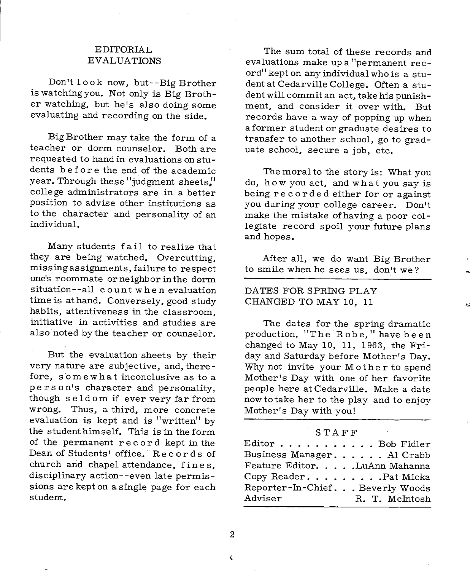### EDITORIAL EVALUATIONS

Don't 1 o ok now. but--Big Brother is watching you. Not only is Big Brother watching. but he's also doing some evaluating and recording on the side.

Big Brother may take the form of <sup>a</sup> teacher or dorm counselor. Both are requested to hand in evaluations on students before the end of the academic year. Through these "judgment sheets," college administrators are in a better position to advise other institutions as to the character and personality of an individual.

Many students fail to realize that they are being watched. Overcutting. missing assignments. failure to respect one's roommate orneighborinthe dorm situation--all count when evaluation time is at hand. Conversely, good study habits, attentiveness in the classroom. initiative in activities and studies are also noted bythe teacher or counselor.

But the evaluation sheets by their very nature are subjective, and, therefore. somewhat inconclusive as to <sup>a</sup> person's character and personality, though seldom if ever very far from wrong. Thus. a third. more concrete evaluation is kept and is "written" by the student himself. This is in the form of the permanent re c or d kept in the Dean of Students' office. Records of church arid chapel attendance, fines, disciplinary action--even late permissions are kept on a single page for each student.

The sum total of these records and evaluations make up a "permanent record" kept on any individual who is a stu dent at Cedarville College. Often a student will commit an act. take his punishment. and consider it over with. But records have <sup>a</sup>way of popping up when <sup>a</sup>former student or graduate desires to transfer to another school. go to graduate school, secure a job, etc.

The moral to the story is: What you do, how you act. and what you say is being recorded either for or against you during your college career. Don't make the mistake of having a poor collegiate record spoil your future plans and hopes.

After all. we do want Big Brother to smile when he sees us. don't we?

#### DATES FOR SPRING PLAY CHANGED TO MAY 10, 11

The dates for the spring dramatic production. "The Robe," have been changed to May 10, 11, 1963, the Friday and Saturday before Mother's Day. Why not invite your Mother to spend Mother's Day with one of her favorite people here at Cedarville. Make a date nowtotake her to the play and to enjoy Mother's Day with you!

#### STAFF

| ${\rm Editor} \, \ldots \, \ldots \, \ldots \, \ldots \,$ Bob Fidler |                |
|----------------------------------------------------------------------|----------------|
| Business Manager. Al Crabb                                           |                |
| Feature Editor. LuAnn Mahanna                                        |                |
| Copy Reader. Pat Micka                                               |                |
| Reporter-In-Chief. Beverly Woods                                     |                |
| Adviser                                                              | R. T. McIntosh |
|                                                                      |                |

2

¢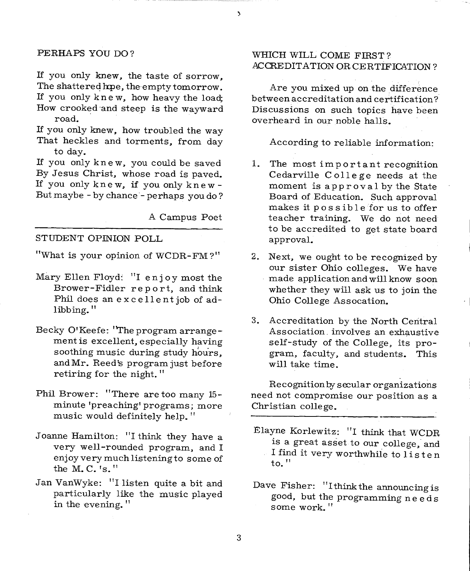#### PERHAPS YOU DO?

If you only knew, the taste of sorrow, The shattered hpe, the empty tomorrow. If you only knew, how heavy the load; How crooked and steep is the wayward road.

If you only knew, how troubled the way That heckles and torments, from day to day.

If you only knew, you could be saved By Jesus Christ, whose road is paved. If you only knew, if you only knew - But maybe - by chance - perhaps you do?

A Campus Poet

 $\mathbf{\hat{z}}$ 

#### STUDENT OPINION POLL

"What is your opinion of WCDR-FM ?"

- Mary Ellen Floyd: "I enjoy most the Brower-Fidler report, and think Phil does an excellentjob of adlibbing."
- Becky O'Keefe: "The program arrangement is excellent, especially having soothing music during study hours, and Mr. Reed's program just before retiring for the night."
- Phil Brower: "There are too many 15 minute 'preaching' programs; more music would definitely help."
- Joanne Hamilton: "I think they have a very well-rounded program, and I enjoy very much listening to some of the M.C.'s."
- Jan VanWyke: "I listen quite a bit and particularly like the music played in the evening."

# WHICH WILL COME FIRST? .ACCREDITATION OR CERTIFICATION?

Are you mixed up on the difference between accreditation and certification? Discussions on such topics have been overheard in our noble halls.

According to reliable information:

- 1. The most important recognition Cedarville College needs at the moment is approval by the State Board of Education. Such approval makes it possible for us to offer teacher training. We do not need to be accredited to get state board approval.
- 2. Next, we ought to be recognized by our sister Ohio colleges. We have made application and will know soon whether they will ask us to join the Ohio College Assocation.

 $\cdot$  !

3. Accreditation by the North Central Association. involves an exhaustive self-study of the College, its program, faculty, and students. This will take time.

Recognition by secular organizations need not compromise our position as <sup>a</sup> Christian college.

- Elayne Korlewitz: "I think that WCDR. is a great asset to our college, and I find it very worthwhile to listen to."
- Dave Fisher: "I think the announcing is good, but the programming n e e d s some work."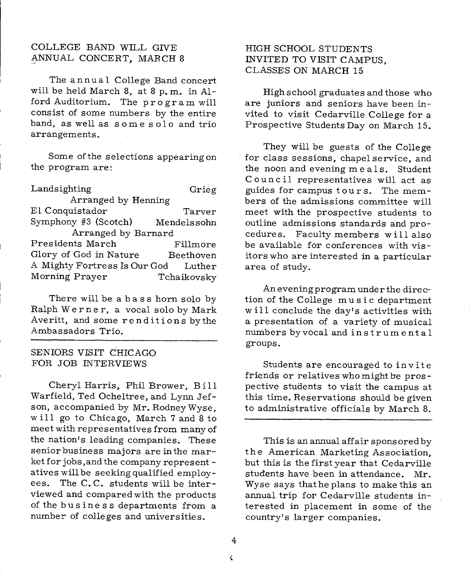### COLLEGE BAND WILL GIVE ANNUAL CONCERT, MARCH 8

The annual College Band concert will be held March 8, at 8 p. m. in Alford Auditorium. The program will consist of some numbers by the entire band, as well as some solo and trio arrangements.

Some of the selections appearing on the program are:

Landsighting Grieg Arranged by Henning El Conquistador Tarver Symphony #3 (Scotch) Mendelssohn Arranged by Barnard Presidents March Fillmore Glory of God in Nature Beethoven A Mighty Fortress Is Our God Luther Morning Prayer Tchaikovsky

There will be a bass horn solo by Ralph Wern <sup>e</sup>r, a vocal solo by Mark Averitt, and some renditions bythe Ambassadors Trio.

#### SENIORS VISIT CHICAGO FOR JOB INTERVIEWS

Cheryl Harris, Phil Brower, Bill Warfield, Ted Ocheltree, and Lynn Jefson, accompanied by Mr. Rodney Wyse, will go to Chicago, March 7 and 8 to meet with representatives from many of the nation's leading companies. These senior business majors are in the market for jobs,and the company represent atives will be seeking qualified employees. The C.C. students will be interviewed and compared with the products of the business departments from a number of colleges and universities.

# HIGH SCHOOL STUDENTS INVITED TO VISIT CAMPUS, CLASSES ON MARCH 15

High school graduates and those who are juniors and seniors have been invited to visit Cedarville College for <sup>a</sup> Prospective Students Day on March 15.

They will be guests of the College for class sessions, chapel service, and the noon and evening meals. Student Council representatives will act as guides for campus tours. The members of the admissions committee will meet with the prospective students to outline admissions standards and procedures. Faculty members will also be available for conferences with visitors who are interested in a particular area of study.

Aneveningprogram underthe direction of the College music department w ill conclude the day's activities with <sup>a</sup>presentation of a variety of musical numbers by vocal and instrumental groups.

Students are encouraged to invite friends or relatives who might be prospective students to visit the campus at this time. Reservations should be given to administrative officials by March 8.

This is an annual affair sponsored by the American Marketing Association, but this is the first year that Cedarville students have been in attendance. Mr. Wyse says that he plans to make this an annual trip for Cedarville students interested in placement in some of the country's larger companies.

¢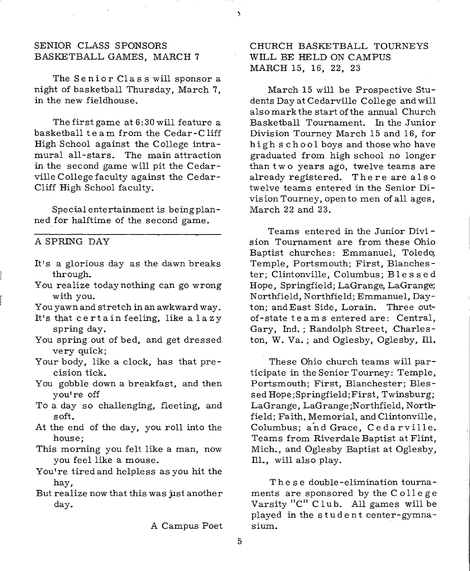#### SENIOR CLASS SPONSORS BASKETBALL GAMES, MARCH 7

The Senior Class will sponsor a night of basketball Thursday, March 7, in the new fieldhouse.

The first game at 6: 30 will feature a basketball team from the Cedar-Cliff High School against the College intramural all-stars. The main attraction in the second game will pit the Cedarville College faculty against the Cedar-Cliff High School faculty.

Special entertainment is being planned for halftime of the second game.

#### A SPRING DAY

- It's a glorious day as the dawn breaks through.
- You realize today nothing can go wrong with you.
- You yawn and stretch in an awkward way.
- It's that certain feeling, like a lazy spring day.
- You spring out of bed, and get dressed very quick;
- Your body, like a clock, has that precision tick.
- You gobble down a breakfast, and then you're off
- To a day so challenging, fleeting, and soft.
- At the end of the day, you roll into the house;
- This morning you felt like a man, now you feel like a mouse.
- You're tired and helpless as you hit the hay,
- But realize now that this was just another day.

A Campus Poet

CHURCH BASKETBALL TOURNEYS WILL BE HELD ON CAMPUS MARCH 15, 16, 22, 23

March 15 will be Prospective Students Day at Cedarville College and will also mark the start of the annual Church Basketball Tournament. In the Junior Division Tourney March 15 and 16, for high school boys and those who have graduated from high school no longer than two years ago, twelve teams are already registered. There are also twelve teams entered in the Senior Division Tourney, open to men of all ages, March 22 and 23.

Teams entered in the Junior Divi sion Tournament are from these Ohio Baptist churches: Emmanuel, Toledo; Temple, Portsmouth; First, Blanchester; Clintonville, Columbus; B 1 es s e d Hope, Springfield; LaGrange, LaGrange; Northfield, Northfield; Emmanuel, Dayton; andEast Side, Lorain. Three outof-state teams entered are: Central, Gary, Ind.; Randolph Street, Charleston, W. Va.; and Oglesby, Oglesby, Ill.

These Ohio church teams will participate in the Senior Tourney: Temple, Portsmouth; First, Blanchester; Blessed Hope;Springfield;First, Twinsburg; LaGrange, LaGrange ;Northfield, Northfield; Faith, Memorial, and Clintonville, Columbus; and Grace, Cedarville. Teams from Riverdale Baptist at Flint, Mich., and Oglesby Baptist at Oglesby, Ill., will also play.

These double-elimination tournaments are sponsored by the College Varsity "C" Club. All games will be played in the student center-gymnasium.

ð.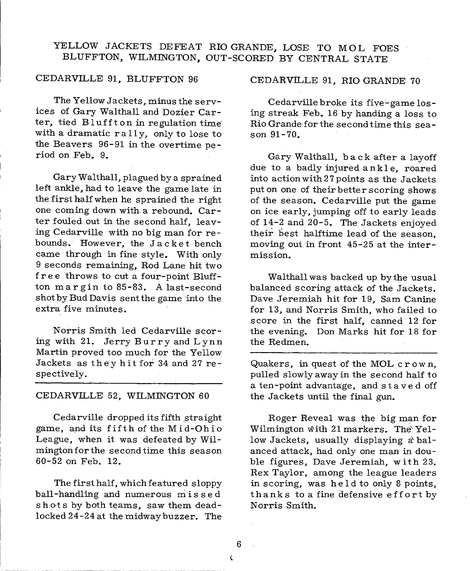# YELLOW JACKETS DEFEAT RIO GRANDE, LOSE TO MOL FOES BLUFFTON, WILMINGTON, OUT-SCORED BY CENTRAL STATE

#### CEDARVILLE 91, BLUFFTON 96

The Yellow Jackets, minus the services of Gary Walthall and Dozier Carter, tied Bluffton in regulation time with a dramatic rally, only to lose to the Beavers 96-91 in the overtime period on Feb. 9.

Gary Walthall, plagued by <sup>a</sup>sprained left ankle, had to leave the game late in the first half when he sprained the right one coming down with. a rebound. Carter fouled out in the second half, leaving Cedarville with no big man for re bounds. However, the Jacket bench came through in fine style. With only 9 seconds remaining, Rod Lane hit two free throws to cut a four-point Bluffton margin to 85-83. A last-second shot by Bud Davis sentthe game into the extra five minutes.

Norris Smith led Cedarville scoring with 21. Jerry Burry and Lynn Martin proved too much for the Yellow Jackets as they hit for 34 and 27 respectively.

#### CEDARVILLE 52, WILMINGTON 60

Cedarville dropped its fifth straight game, and its fifth of the Mid-Ohio League, when it was defeated by Wilmingtonfor the second time this season 60-52 on Feb. 12.

The first half, which featured sloppy ball-handling and numerous missed shots by both teams, saw them deadlocked 24-24 at the midway buzzer. The

CEDARVILLE 91, RIO GRANDE 70

Cedarville broke its five-game losing streak Feb. 16 by handing a loss to Rio Grande for the second time this season 91-70.

Gary Walthall, b a ck after a layoff due to a badly injured ankle, roared into action with 27 points as the Jackets put on one of their better scoring shows of the season. Cedarville put the game on ice early, jumping off to early leads of 14-2 and 20-5. The Jackets enjoyed their best halftime lead of the season, moving out in front 45-25 at the intermission.

Walthall was backed up by the usual balanced scoring attack of the Jackets. Dave Jeremiah hit for 19, Sam Canine for 13, and Norris Smith, who failed to score in the first half, canned 12 for the evening. Don Marks hit for 18 for the Redmen.

Quakers, in quest of the MOL crown, pulled slowly away in the second half to <sup>a</sup>ten -point advantage, and stave d off the Jackets until the final gun.

Roger Reveal was the big man for Wilmington with 21 markers. The' Yellow Jackets, usually displaying a balanced attack, had only one man in dou ble figures, Dave Jeremiah, with 23. Rex Taylor, among the league leaders in scoring, was held to only 8 points, thanks to a fine defensive effort by Norris Smith.

6 ¢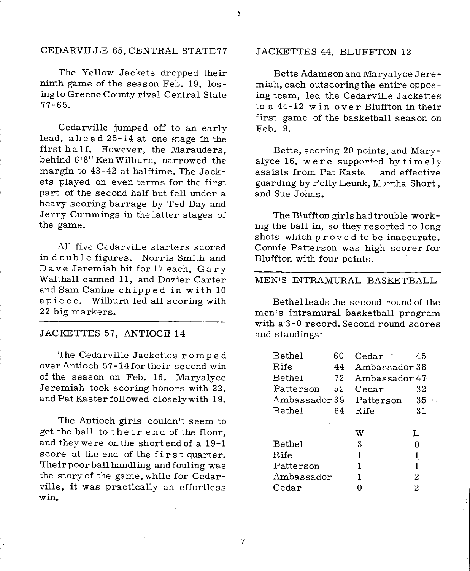#### CEDARVILLE 65, CENTRAL STATE77

The Yellow Jackets dropped their ninth game of the season Feb. 19, losingto Greene County rival Central State 77-65.

Cedarville jumped off to an early lead, ahead 25-14 at one stage in the first half. However, the Marauders, behind 6 <sup>1</sup>8" Ken Wilburn, narrowed the margin to 43-42 at halftime. The Jackets played on even terms for the first part of the second half but fell under <sup>a</sup> heavy scoring barrage by Ted Day and Jerry Cummings in the latter stages of the game.

All five Cedarville starters scored in double figures. Norris Smith and Dave Jeremiah hit for 17 each, Gary Walthall canned 11, and Dozier Carter and Sam Canine chipped in with 10 apiece. Wilburn led all scoring with 22 big markers.

#### JACKETTES 57, ANTIOCH 14

The Cedarville Jackettes romped over Antioch 57-14fortheir second win of the season on Feb. 16. Maryalyce Jeremiah took scoring honors with 22, and Pat Kaster followed closely with 19.

The Antioch girls couldn't seem to get the ball to their end of the floor, and theywere on the short end of a 19-1 score at the end of the first quarter. Their poor ball handling and fouling was the story of the game, while for Cedarville, it was practically an effortless win.

#### JACKETTES 44, BLUFFTON 12

Bette Adamson ana Maryalyce Jeremiah, each outscoringthe entire opposing team, led the Cedarville Jackettes to a 44-12 win over Bluffton in their first game of the basketball season on Feb. 9.

Bette, scoring 20 points, and Maryalyce 16, were supported by  $timely$ assists from Pat Kastc and effective guarding by Polly Leunk, Martha Short, and Sue Johns.

The Bluffton girls had trouble working the ball in, so they resorted to long shots which proved to be inaccurate. Connie Patterson was high scorer for Bluffton with four points.

#### MEN'S INTRAMURAL BASKETBALL

Bethel leads the second round of the men's intramural basketball program with a 3-0 record. Second round scores and standings:

| <b>Bethel</b>              | 60     | Cedar :                                 | 45  |
|----------------------------|--------|-----------------------------------------|-----|
| Rife                       | 44     | . Ambassador 38 .                       |     |
| Bethel                     | 72     | Ambassador 47                           |     |
| Patterson                  | $52 -$ | Cedar 32                                |     |
| Ambassador 39 Patterson 35 |        |                                         |     |
| Bethel                     | 64     | Rife                                    | 31  |
|                            |        |                                         |     |
|                            |        | $\cdot$ W<br>$\mathcal{F}_{\rm{max}}$ . | L : |
| Bethel                     |        | 3.<br>$\sim 10^{-1}$                    | 0   |
| Rife                       |        | 1                                       | 1   |
| Patterson                  |        | 1                                       | 1   |
| Ambassador                 |        | 1                                       | 2   |
| $\text{Cedar}$             |        | 0                                       | 2   |

7